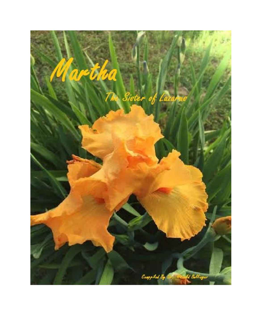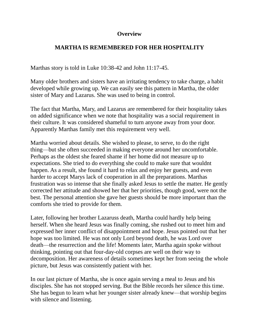#### **Overview**

# **MARTHA IS REMEMBERED FOR HER HOSPITALITY**

Marthas story is told in Luke 10:38-42 and John 11:17-45.

Many older brothers and sisters have an irritating tendency to take charge, a habit developed while growing up. We can easily see this pattern in Martha, the older sister of Mary and Lazarus. She was used to being in control.

The fact that Martha, Mary, and Lazarus are remembered for their hospitality takes on added significance when we note that hospitality was a social requirement in their culture. It was considered shameful to turn anyone away from your door. Apparently Marthas family met this requirement very well.

Martha worried about details. She wished to please, to serve, to do the right thing—but she often succeeded in making everyone around her uncomfortable. Perhaps as the oldest she feared shame if her home did not measure up to expectations. She tried to do everything she could to make sure that wouldnt happen. As a result, she found it hard to relax and enjoy her guests, and even harder to accept Marys lack of cooperation in all the preparations. Marthas frustration was so intense that she finally asked Jesus to settle the matter. He gently corrected her attitude and showed her that her priorities, though good, were not the best. The personal attention she gave her guests should be more important than the comforts she tried to provide for them.

Later, following her brother Lazaruss death, Martha could hardly help being herself. When she heard Jesus was finally coming, she rushed out to meet him and expressed her inner conflict of disappointment and hope. Jesus pointed out that her hope was too limited. He was not only Lord beyond death, he was Lord over death—the resurrection and the life! Moments later, Martha again spoke without thinking, pointing out that four-day-old corpses are well on their way to decomposition. Her awareness of details sometimes kept her from seeing the whole picture, but Jesus was consistently patient with her.

In our last picture of Martha, she is once again serving a meal to Jesus and his disciples. She has not stopped serving. But the Bible records her silence this time. She has begun to learn what her younger sister already knew—that worship begins with silence and listening.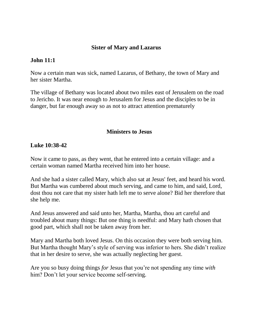### **Sister of Mary and Lazarus**

#### **John 11:1**

Now a certain man was sick, named Lazarus, of Bethany, the town of Mary and her sister Martha.

The village of Bethany was located about two miles east of Jerusalem on the road to Jericho. It was near enough to Jerusalem for Jesus and the disciples to be in danger, but far enough away so as not to attract attention prematurely

#### **Ministers to Jesus**

#### **[Luke 10:38-42](http://www.crossbooks.com/verse.asp?ref=Lk+10%3A38-42)**

Now it came to pass, as they went, that he entered into a certain village: and a certain woman named Martha received him into her house.

And she had a sister called Mary, which also sat at Jesus' feet, and heard his word. But Martha was cumbered about much serving, and came to him, and said, Lord, dost thou not care that my sister hath left me to serve alone? Bid her therefore that she help me.

And Jesus answered and said unto her, Martha, Martha, thou art careful and troubled about many things: But one thing is needful: and Mary hath chosen that good part, which shall not be taken away from her.

Mary and Martha both loved Jesus. On this occasion they were both serving him. But Martha thought Mary's style of serving was inferior to hers. She didn't realize that in her desire to serve, she was actually neglecting her guest.

Are you so busy doing things *for* Jesus that you're not spending any time *with* him? Don't let your service become self-serving.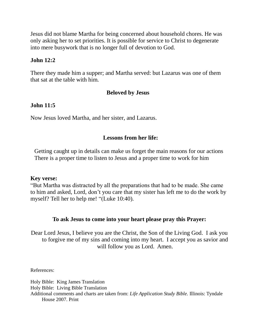Jesus did not blame Martha for being concerned about household chores. He was only asking her to set priorities. It is possible for service to Christ to degenerate into mere busywork that is no longer full of devotion to God.

### **John 12:2**

There they made him a supper; and Martha served: but Lazarus was one of them that sat at the table with him.

## **Beloved by Jesus**

## **John 11:5**

Now Jesus loved Martha, and her sister, and Lazarus.

## **Lessons from her life:**

Getting caught up in details can make us forget the main reasons for our actions There is a proper time to listen to Jesus and a proper time to work for him

#### **Key verse:**

"But Martha was distracted by all the preparations that had to be made. She came to him and asked, Lord, don't you care that my sister has left me to do the work by myself? Tell her to help me! "(Luke 10:40).

### **To ask Jesus to come into your heart please pray this Prayer:**

Dear Lord Jesus, I believe you are the Christ, the Son of the Living God. I ask you to forgive me of my sins and coming into my heart. I accept you as savior and will follow you as Lord. Amen.

References:

Holy Bible: King James Translation Holy Bible: Living Bible Translation Additional comments and charts are taken from: *Life Application Study Bible.* Illinois: Tyndale House 2007. Print